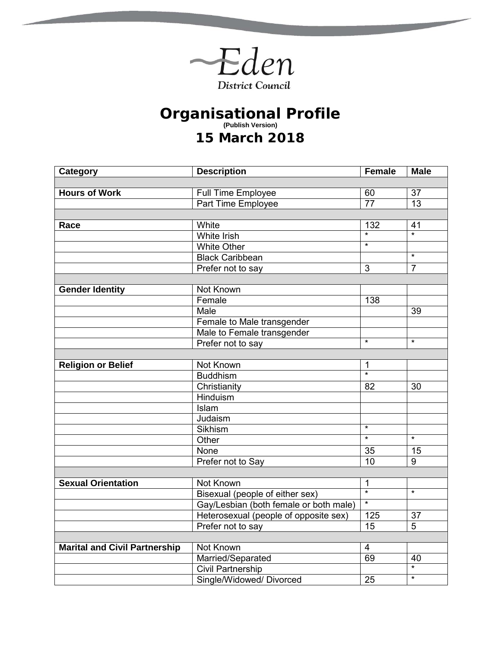

**The State of Contract** 

## **Organisational Profile (Publish Version) 15 March 2018**

| <b>Category</b>                      | <b>Description</b>                     | <b>Female</b>     | <b>Male</b>       |
|--------------------------------------|----------------------------------------|-------------------|-------------------|
|                                      |                                        |                   |                   |
| <b>Hours of Work</b>                 | Full Time Employee                     | 60                | 37                |
|                                      | <b>Part Time Employee</b>              | $\overline{77}$   | $\overline{13}$   |
|                                      |                                        |                   |                   |
| Race                                 | White                                  | 132               | 41                |
|                                      | <b>White Irish</b>                     | $\overline{\ast}$ | $\overline{\ast}$ |
|                                      | <b>White Other</b>                     | $\overline{\ast}$ |                   |
|                                      | <b>Black Caribbean</b>                 |                   | $\star$           |
|                                      | Prefer not to say                      | 3                 | $\overline{7}$    |
|                                      |                                        |                   |                   |
| <b>Gender Identity</b>               | Not Known                              |                   |                   |
|                                      | Female                                 | 138               |                   |
|                                      | Male                                   |                   | 39                |
|                                      | Female to Male transgender             |                   |                   |
|                                      | Male to Female transgender             |                   |                   |
|                                      | Prefer not to say                      | $\star$           | $\star$           |
|                                      |                                        |                   |                   |
| <b>Religion or Belief</b>            | Not Known                              | 1                 |                   |
|                                      | <b>Buddhism</b>                        | $\overline{\ast}$ |                   |
|                                      | Christianity                           | 82                | 30                |
|                                      | <b>Hinduism</b>                        |                   |                   |
|                                      | Islam                                  |                   |                   |
|                                      | Judaism                                |                   |                   |
|                                      | Sikhism                                | $\overline{\ast}$ |                   |
|                                      | Other                                  | $\overline{\ast}$ | $\star$           |
|                                      | None                                   | 35                | 15                |
|                                      | Prefer not to Say                      | 10                | 9                 |
|                                      |                                        |                   |                   |
| <b>Sexual Orientation</b>            | Not Known                              | $\mathbf 1$       |                   |
|                                      | Bisexual (people of either sex)        | $\overline{\ast}$ | $\overline{\ast}$ |
|                                      | Gay/Lesbian (both female or both male) | $\ast$            |                   |
|                                      | Heterosexual (people of opposite sex)  | 125               | 37                |
|                                      | Prefer not to say                      | 15                | 5                 |
|                                      |                                        |                   |                   |
| <b>Marital and Civil Partnership</b> | Not Known                              | $\overline{4}$    |                   |
|                                      | Married/Separated                      | 69                | 40                |
|                                      | <b>Civil Partnership</b>               |                   | $\overline{\ast}$ |
|                                      | Single/Widowed/ Divorced               | 25                | $\star$           |